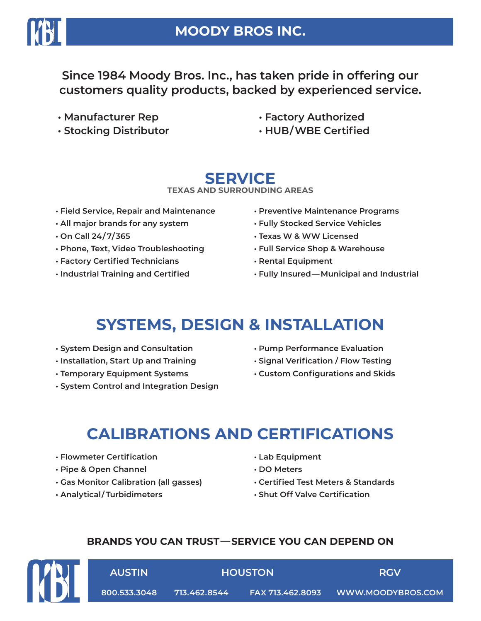

### **MOODY BROS INC.**

**Since 1984 Moody Bros. Inc., has taken pride in offering our customers quality products, backed by experienced service.**

- **Manufacturer Rep**
- **Stocking Distributor**
- **Factory Authorized**
- **HUB/WBE Certified**

## **SERVICE**

### **TEXAS AND SURROUNDING AREAS**

- **Field Service, Repair and Maintenance**
- **All major brands for any system**
- **On Call 24/ 7/365**
- **Phone, Text, Video Troubleshooting**
- **Factory Certified Technicians**
- **Industrial Training and Certified**
- **Preventive Maintenance Programs**
- **Fully Stocked Service Vehicles**
- **Texas W & WW Licensed**
- **Full Service Shop & Warehouse**
- **Rental Equipment**
- **Fully Insured—Municipal and Industrial**

# **SYSTEMS, DESIGN & INSTALLATION**

- **System Design and Consultation**
- **Installation, Start Up and Training**
- **Temporary Equipment Systems**
- **System Control and Integration Design**
- **Pump Performance Evaluation**
- **Signal Verification / Flow Testing**
- **Custom Configurations and Skids**

# **CALIBRATIONS AND CERTIFICATIONS**

- **Flowmeter Certification**
- **Pipe & Open Channel**
- **Gas Monitor Calibration (all gasses)**
- **Analytical/ Turbidimeters**
- **Lab Equipment**
- **DO Meters**
- **Certified Test Meters & Standards**
- **Shut Off Valve Certification**

**HOUSTON RGV**

### **BRANDS YOU CAN TRUST—SERVICE YOU CAN DEPEND ON**



**AUSTIN**